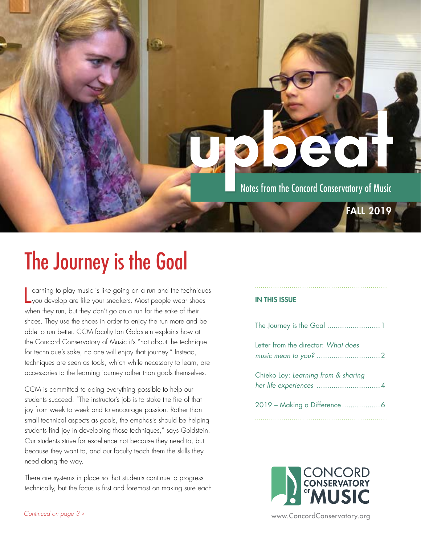

## The Journey is the Goal

earning to play music is like going on a run and the technique<br>you develop are like your sneakers. Most people wear shoes earning to play music is like going on a run and the techniques when they run, but they don't go on a run for the sake of their shoes. They use the shoes in order to enjoy the run more and be able to run better. CCM faculty Ian Goldstein explains how at the Concord Conservatory of Music it's "not about the technique for technique's sake, no one will enjoy that journey." Instead, techniques are seen as tools, which while necessary to learn, are accessories to the learning journey rather than goals themselves.

CCM is committed to doing everything possible to help our students succeed. "The instructor's job is to stoke the fire of that joy from week to week and to encourage passion. Rather than small technical aspects as goals, the emphasis should be helping students find joy in developing those techniques," says Goldstein. Our students strive for excellence not because they need to, but because they want to, and our faculty teach them the skills they need along the way.

There are systems in place so that students continue to progress technically, but the focus is first and foremost on making sure each

#### IN THIS ISSUE

| The Journey is the Goal  1          |  |
|-------------------------------------|--|
| Letter from the director: What does |  |
| Chieko Loy: Learning from & sharing |  |
|                                     |  |

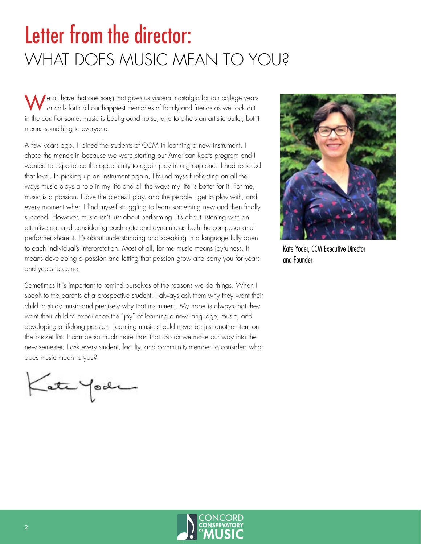### <span id="page-1-0"></span>Letter from the director: WHAT DOES MUSIC MEAN TO YOU?

Ne all have that one song that gives us visceral nostalgia for our college years or calls forth all our happiest memories of family and friends as we rock out in the car. For some, music is background noise, and to others an artistic outlet, but it means something to everyone.

A few years ago, I joined the students of CCM in learning a new instrument. I chose the mandolin because we were starting our American Roots program and I wanted to experience the opportunity to again play in a group once I had reached that level. In picking up an instrument again, I found myself reflecting on all the ways music plays a role in my life and all the ways my life is better for it. For me, music is a passion. I love the pieces I play, and the people I get to play with, and every moment when I find myself struggling to learn something new and then finally succeed. However, music isn't just about performing. It's about listening with an attentive ear and considering each note and dynamic as both the composer and performer share it. It's about understanding and speaking in a language fully open to each individual's interpretation. Most of all, for me music means joyfulness. It means developing a passion and letting that passion grow and carry you for years and years to come.

Sometimes it is important to remind ourselves of the reasons we do things. When I speak to the parents of a prospective student, I always ask them why they want their child to study music and precisely why that instrument. My hope is always that they want their child to experience the "joy" of learning a new language, music, and developing a lifelong passion. Learning music should never be just another item on the bucket list. It can be so much more than that. So as we make our way into the new semester, I ask every student, faculty, and community-member to consider: what does music mean to you?

Kate Yook



Kate Yoder, CCM Executive Director and Founder

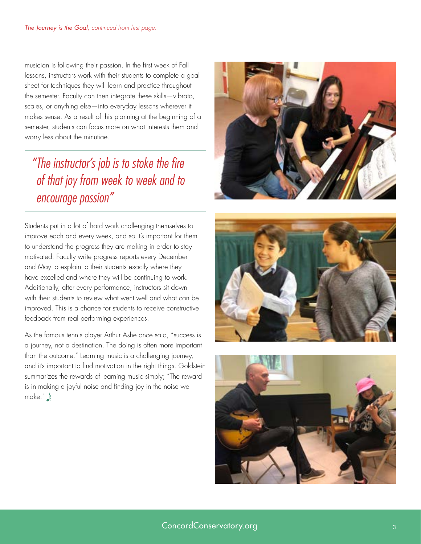<span id="page-2-0"></span>musician is following their passion. In the first week of Fall lessons, instructors work with their students to complete a goal sheet for techniques they will learn and practice throughout the semester. Faculty can then integrate these skills—vibrato, scales, or anything else—into everyday lessons wherever it makes sense. As a result of this planning at the beginning of a semester, students can focus more on what interests them and worry less about the minutiae.

### *"The instructor's job is to stoke the fire of that joy from week to week and to encourage passion"*

Students put in a lot of hard work challenging themselves to improve each and every week, and so it's important for them to understand the progress they are making in order to stay motivated. Faculty write progress reports every December and May to explain to their students exactly where they have excelled and where they will be continuing to work. Additionally, after every performance, instructors sit down with their students to review what went well and what can be improved. This is a chance for students to receive constructive feedback from real performing experiences.

As the famous tennis player Arthur Ashe once said, "success is a journey, not a destination. The doing is often more important than the outcome." Learning music is a challenging journey, and it's important to find motivation in the right things. Goldstein summarizes the rewards of learning music simply; "The reward is in making a joyful noise and finding joy in the noise we make."





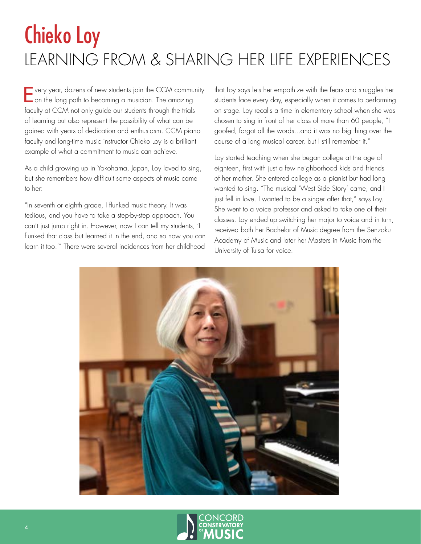### <span id="page-3-0"></span>Chieko Loy LEARNING FROM & SHARING HER LIFE EXPERIENCES

Every year, dozens of new students join the CCM community on the long path to becoming a musician. The amazing faculty at CCM not only guide our students through the trials of learning but also represent the possibility of what can be gained with years of dedication and enthusiasm. CCM piano faculty and long-time music instructor Chieko Loy is a brilliant example of what a commitment to music can achieve.

As a child growing up in Yokohama, Japan, Loy loved to sing, but she remembers how difficult some aspects of music came to her:

"In seventh or eighth grade, I flunked music theory. It was tedious, and you have to take a step-by-step approach. You can't just jump right in. However, now I can tell my students, 'I flunked that class but learned it in the end, and so now you can learn it too.'" There were several incidences from her childhood that Loy says lets her empathize with the fears and struggles her students face every day, especially when it comes to performing on stage. Loy recalls a time in elementary school when she was chosen to sing in front of her class of more than 60 people, "I goofed, forgot all the words...and it was no big thing over the course of a long musical career, but I still remember it."

Loy started teaching when she began college at the age of eighteen, first with just a few neighborhood kids and friends of her mother. She entered college as a pianist but had long wanted to sing. "The musical 'West Side Story' came, and I just fell in love. I wanted to be a singer after that," says Loy. She went to a voice professor and asked to take one of their classes. Loy ended up switching her major to voice and in turn, received both her Bachelor of Music degree from the Senzoku Academy of Music and later her Masters in Music from the University of Tulsa for voice.



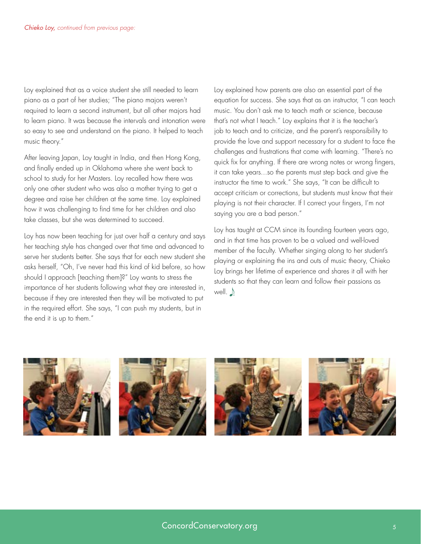Loy explained that as a voice student she still needed to learn piano as a part of her studies; "The piano majors weren't required to learn a second instrument, but all other majors had to learn piano. It was because the intervals and intonation were so easy to see and understand on the piano. It helped to teach music theory."

After leaving Japan, Loy taught in India, and then Hong Kong, and finally ended up in Oklahoma where she went back to school to study for her Masters. Loy recalled how there was only one other student who was also a mother trying to get a degree and raise her children at the same time. Loy explained how it was challenging to find time for her children and also take classes, but she was determined to succeed.

Loy has now been teaching for just over half a century and says her teaching style has changed over that time and advanced to serve her students better. She says that for each new student she asks herself, "Oh, I've never had this kind of kid before, so how should I approach [teaching them]?" Loy wants to stress the importance of her students following what they are interested in, because if they are interested then they will be motivated to put in the required effort. She says, "I can push my students, but in the end it is up to them."

Loy explained how parents are also an essential part of the equation for success. She says that as an instructor, "I can teach music. You don't ask me to teach math or science, because that's not what I teach." Loy explains that it is the teacher's job to teach and to criticize, and the parent's responsibility to provide the love and support necessary for a student to face the challenges and frustrations that come with learning. "There's no quick fix for anything. If there are wrong notes or wrong fingers, it can take years...so the parents must step back and give the instructor the time to work." She says, "It can be difficult to accept criticism or corrections, but students must know that their playing is not their character. If I correct your fingers, I'm not saying you are a bad person."

Loy has taught at CCM since its founding fourteen years ago, and in that time has proven to be a valued and well-loved member of the faculty. Whether singing along to her student's playing or explaining the ins and outs of music theory, Chieko Loy brings her lifetime of experience and shares it all with her students so that they can learn and follow their passions as well.  $\bigwedge$ 

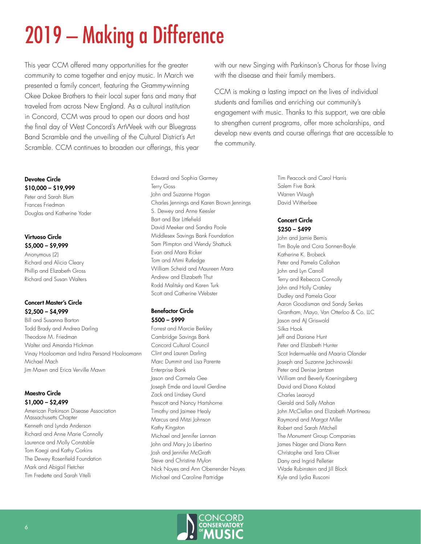# <span id="page-5-0"></span>2019 – Making a Difference

This year CCM offered many opportunities for the greater community to come together and enjoy music. In March we presented a family concert, featuring the Grammy-winning Okee Dokee Brothers to their local super fans and many that traveled from across New England. As a cultural institution in Concord, CCM was proud to open our doors and host the final day of West Concord's ArtWeek with our Bluegrass Band Scramble and the unveiling of the Cultural District's Art Scramble. CCM continues to broaden our offerings, this year

#### Devotee Circle \$10,000 – \$19,999

Peter and Sarah Blum Frances Friedman Douglas and Katherine Yoder

#### Virtuoso Circle \$5,000 – \$9,999

Anonymous (2) Richard and Alicia Cleary Phillip and Elizabeth Gross Richard and Susan Walters

#### Concert Master's Circle \$2,500 – \$4,999

Bill and Susanna Barton Todd Brady and Andrea Darling Theodore M. Friedman Walter and Amanda Hickman Vinay Hoolooman and Indira Persand Hooloomann Michael Mach Jim Mawn and Erica Verville Mawn

#### Maestro Circle \$1,000 – \$2,499

American Parkinson Disease Association Massachusetts Chapter Kenneth and Lynda Anderson Richard and Anne Marie Connolly Laurence and Molly Constable Tom Kaegi and Kathy Corkins The Dewey Rosenfield Foundation Mark and Abigail Fletcher Tim Fredette and Sarah Vitelli

Edward and Sophia Garmey Terry Goss John and Suzanne Hogan Charles Jennings and Karen Brown Jennings S. Dewey and Anne Keesler Bart and Bar Littlefield David Meeker and Sandra Poole Middlesex Savings Bank Foundation Sam Plimpton and Wendy Shattuck Evan and Mara Ricker Tom and Mimi Rutledge William Scheid and Maureen Mara Andrew and Elizabeth Thut Rodd Malitsky and Karen Turk Scott and Catherine Webster

#### Benefactor Circle \$500 – \$999

Forrest and Marcie Berkley Cambridge Savings Bank Concord Cultural Council Clint and Lauren Darling Marc Dummit and Lisa Parente Enterprise Bank Jason and Carmela Gee Joseph Emde and Laurel Gerdine Zack and Lindsey Gund Prescott and Nancy Hartshorne Timothy and Jaimee Healy Marcus and Mitzi Johnson Kathy Kingston Michael and Jennifer Lannan John and Mary Jo Libertino Josh and Jennifer McGrath Steve and Christine Mylon Nick Noyes and Ann Oberrender Noyes Michael and Caroline Partridge

with our new Singing with Parkinson's Chorus for those living with the disease and their family members.

CCM is making a lasting impact on the lives of individual students and families and enriching our community's engagement with music. Thanks to this support, we are able to strengthen current programs, offer more scholarships, and develop new events and course offerings that are accessible to the community.

> Tim Peacock and Carol Harris Salem Five Bank Warren Waugh David Witherbee

#### Concert Circle \$250 – \$499

John and Jamie Bemis Tim Boyle and Cora Sonnen-Boyle Katherine K. Brobeck Peter and Pamela Callahan John and Lyn Carroll Terry and Rebecca Connolly John and Holly Cratsley Dudley and Pamela Goar Aaron Goodisman and Sandy Serkes Grantham, Mayo, Van Otterloo & Co. LLC Jason and AJ Griswold Silka Hook Jeff and Dariane Hunt Peter and Elizabeth Hunter Scot Indermuehle and Maaria Olander Joseph and Suzanne Jachinowski Peter and Denise Jantzen William and Beverly Koeningsberg David and Diana Kolstad Charles Learoyd Gerald and Sally Mahan John McClellan and Elizabeth Martineau Raymond and Margot Miller Robert and Sarah Mitchell The Monument Group Companies James Nager and Diana Renn Christophe and Tara Oliver Dany and Ingrid Pelletier Wade Rubinstein and Jill Block Kyle and Lydia Rusconi

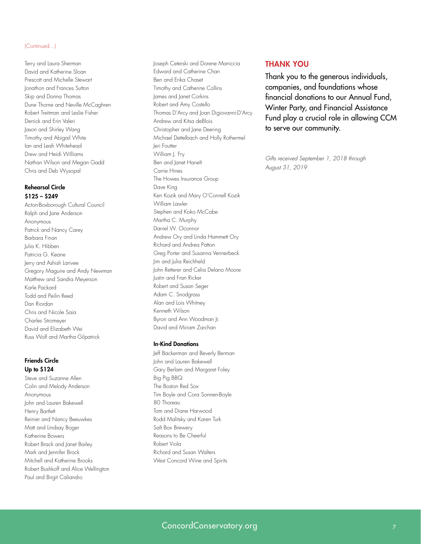#### (Continued...)

Terry and Laura Sherman David and Katherine Sloan Prescott and Michelle Stewart Jonathon and Frances Sutton Skip and Donna Thomas Dune Thorne and Neville McCaghren Robert Treitman and Leslie Fisher Derrick and Erin Valeri Jason and Shirley Wang Timothy and Abigail White Ian and Leah Whitehead Drew and Heidi Williams Nathan Wilson and Megan Gadd Chris and Deb Wysopal

#### Rehearsal Circle \$125 – \$249

Acton-Boxborough Cultural Council Ralph and Jane Anderson Anonymous Patrick and Nancy Carey Barbara Finan Julia K. Hibben Patricia G. Keane Jerry and Ashish Larivee Gregory Maguire and Andy Newman Matthew and Sandra Meyerson Karle Packard Todd and Peilin Reed Dan Riordan Chris and Nicole Saia Charles Stromeyer David and Elizabeth Wei Russ Wolf and Martha Gilpatrick

#### Friends Circle Up to \$124

Steve and Suzanne Allen Colin and Melody Anderson Anonymous John and Lauren Bakewell Henry Bartlett Reinier and Nancy Beeuwkes Matt and Lindsay Boger Katherine Bowers Robert Brack and Janet Bailey Mark and Jennifer Brock Mitchell and Katherine Brooks Robert Bushkoff and Alice Wellington Paul and Birgit Caliandro

Joseph Ceterski and Dorene Maniccia Edward and Catherine Chan Ben and Erika Chaset Timothy and Catherine Collins James and Janet Corkins Robert and Amy Costello Thomas D'Arcy and Joan Digiovanni-D'Arcy Andrew and Kitsa deBlois Christopher and Jane Deering Michael Dettelbach and Holly Rothermel Jeri Foutter William J. Fry Ben and Janet Hanelt Carrie Hines The Howes Insurance Group Dave King Ken Kozik and Mary O'Connell Kozik William Lawler Stephen and Koko McCabe Martha C. Murphy Daniel W. Oconnor Andrew Ory and Linda Hammett Ory Richard and Andrea Patton Greg Porter and Susanna Vennerbeck Jim and Julia Reichheld John Retterer and Celia Delano Moore Justin and Fran Ricker Robert and Susan Seger Adam C. Snodgrass Alan and Lois Whitney Kenneth Wilson Byron and Ann Woodman Jr. David and Miriam Zarchan

#### In-Kind Donations

Jeff Backerman and Beverly Berman John and Lauren Bakewell Gary Berlam and Margaret Foley Big Pig BBQ The Boston Red Sox Tim Boyle and Cora Sonnen-Boyle 80 Thoreau Tom and Diane Harwood Rodd Malitsky and Karen Turk Salt Box Brewery Reasons to Be Cheerful Robert Viola Richard and Susan Walters West Concord Wine and Spirits

#### THANK YOU

Thank you to the generous individuals, companies, and foundations whose financial donations to our Annual Fund, Winter Party, and Financial Assistance Fund play a crucial role in allowing CCM to serve our community.

*Gifts received September 1, 2018 through August 31, 2019*